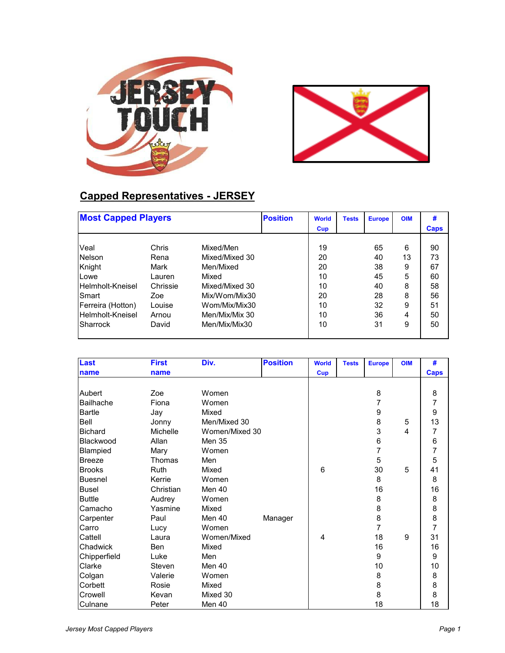



## **Capped Representatives - JERSEY**

| <b>Most Capped Players</b> |          |                | <b>Position</b> | <b>World</b> | <b>Tests</b> | <b>Europe</b> | <b>OIM</b> | #    |
|----------------------------|----------|----------------|-----------------|--------------|--------------|---------------|------------|------|
|                            |          |                |                 | Cup          |              |               |            | Caps |
| Veal                       | Chris    | Mixed/Men      |                 | 19           |              | 65            | 6          | 90   |
| Nelson                     | Rena     | Mixed/Mixed 30 |                 | 20           |              | 40            | 13         | 73   |
| Knight                     | Mark     | Men/Mixed      |                 | 20           |              | 38            | 9          | 67   |
| Lowe                       | Lauren   | Mixed          |                 | 10           |              | 45            | 5          | 60   |
| Helmholt-Kneisel           | Chrissie | Mixed/Mixed 30 |                 | 10           |              | 40            | 8          | 58   |
| ISmart                     | Zoe      | Mix/Wom/Mix30  |                 | 20           |              | 28            | 8          | 56   |
| Ferreira (Hotton)          | Louise   | Wom/Mix/Mix30  |                 | 10           |              | 32            | 9          | 51   |
| Helmholt-Kneisel           | Arnou    | Men/Mix/Mix 30 |                 | 10           |              | 36            | 4          | 50   |
| Sharrock                   | David    | Men/Mix/Mix30  |                 | 10           |              | 31            | 9          | 50   |

| Last             | <b>First</b>    | Div.           | <b>Position</b> | <b>World</b> | <b>Tests</b> | <b>Europe</b> | <b>OIM</b> | #              |
|------------------|-----------------|----------------|-----------------|--------------|--------------|---------------|------------|----------------|
| name             | name            |                |                 | <b>Cup</b>   |              |               |            | <b>Caps</b>    |
|                  |                 |                |                 |              |              |               |            |                |
| Aubert           | Zoe             | Women          |                 |              |              | 8             |            | 8              |
| <b>Bailhache</b> | Fiona           | Women          |                 |              |              | 7             |            | $\overline{7}$ |
| Bartle           | Jay             | Mixed          |                 |              |              | 9             |            | 9              |
| Bell             | Jonny           | Men/Mixed 30   |                 |              |              | 8             | 5          | 13             |
| <b>Bichard</b>   | <b>Michelle</b> | Women/Mixed 30 |                 |              |              | 3             | 4          | 7              |
| Blackwood        | Allan           | <b>Men 35</b>  |                 |              |              | 6             |            | 6              |
| Blampied         | Mary            | Women          |                 |              |              | 7             |            | $\overline{7}$ |
| Breeze           | Thomas          | Men            |                 |              |              | 5             |            | 5              |
| <b>Brooks</b>    | <b>Ruth</b>     | Mixed          |                 | 6            |              | 30            | 5          | 41             |
| Buesnel          | Kerrie          | Women          |                 |              |              | 8             |            | 8              |
| <b>Busel</b>     | Christian       | Men 40         |                 |              |              | 16            |            | 16             |
| <b>Buttle</b>    | Audrey          | Women          |                 |              |              | 8             |            | 8              |
| Camacho          | Yasmine         | Mixed          |                 |              |              | 8             |            | 8              |
| Carpenter        | Paul            | Men 40         | Manager         |              |              | 8             |            | 8              |
| Carro            | Lucy            | Women          |                 |              |              | 7             |            | $\overline{7}$ |
| Cattell          | Laura           | Women/Mixed    |                 | 4            |              | 18            | 9          | 31             |
| Chadwick         | <b>Ben</b>      | Mixed          |                 |              |              | 16            |            | 16             |
| Chipperfield     | Luke            | Men            |                 |              |              | 9             |            | 9              |
| Clarke           | Steven          | Men 40         |                 |              |              | 10            |            | 10             |
| Colgan           | Valerie         | Women          |                 |              |              | 8             |            | 8              |
| Corbett          | Rosie           | Mixed          |                 |              |              | 8             |            | 8              |
| Crowell          | Kevan           | Mixed 30       |                 |              |              | 8             |            | 8              |
| Culnane          | Peter           | Men 40         |                 |              |              | 18            |            | 18             |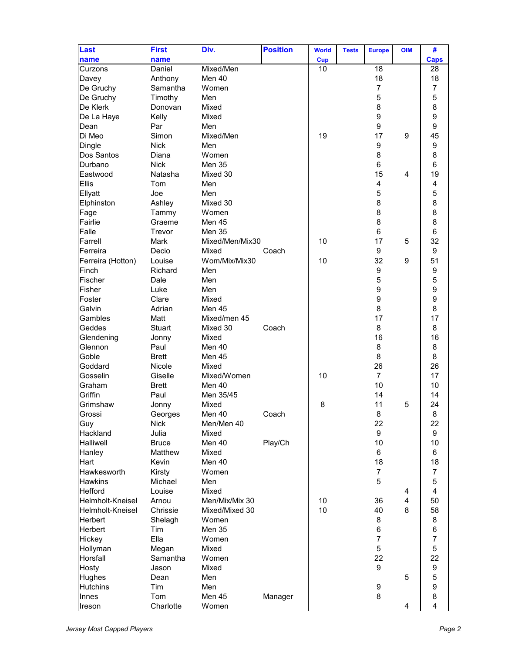| Last              | <b>First</b>  | Div.            | <b>Position</b> | <b>World</b> | <b>Tests</b> | <b>Europe</b>  | <b>OIM</b>     | #                |
|-------------------|---------------|-----------------|-----------------|--------------|--------------|----------------|----------------|------------------|
| name              | name          |                 |                 | Cup          |              |                |                | <b>Caps</b>      |
| Curzons           | Daniel        | Mixed/Men       |                 | 10           |              | 18             |                | 28               |
| Davey             | Anthony       | Men 40          |                 |              |              | 18             |                | 18               |
| De Gruchy         | Samantha      | Women           |                 |              |              | $\overline{7}$ |                | $\overline{7}$   |
| De Gruchy         | Timothy       | Men             |                 |              |              | 5              |                | 5                |
| De Klerk          | Donovan       | Mixed           |                 |              |              | 8              |                | 8                |
| De La Haye        | Kelly         | Mixed           |                 |              |              | 9              |                | 9                |
| Dean              | Par           | Men             |                 |              |              | 9              |                | $\boldsymbol{9}$ |
| Di Meo            | Simon         | Mixed/Men       |                 | 19           |              | 17             | 9              | 45               |
| Dingle            | <b>Nick</b>   | Men             |                 |              |              | 9              |                | 9                |
| Dos Santos        | Diana         | Women           |                 |              |              | 8              |                | 8                |
| Durbano           | <b>Nick</b>   | <b>Men 35</b>   |                 |              |              | 6              |                | 6                |
| Eastwood          | Natasha       | Mixed 30        |                 |              |              | 15             | $\overline{4}$ | 19               |
| Ellis             | Tom           | Men             |                 |              |              | 4              |                | 4                |
| Ellyatt           | Joe           | Men             |                 |              |              | 5              |                | 5                |
| Elphinston        | Ashley        | Mixed 30        |                 |              |              | 8              |                | 8                |
| Fage              | Tammy         | Women           |                 |              |              | 8              |                | 8                |
| Fairlie           | Graeme        | Men 45          |                 |              |              | 8              |                | 8                |
| Falle             | Trevor        | <b>Men 35</b>   |                 |              |              | 6              |                | $6\phantom{1}$   |
| Farrell           | Mark          | Mixed/Men/Mix30 |                 | 10           |              | 17             | 5              | 32               |
| Ferreira          | Decio         | Mixed           | Coach           |              |              | 9              |                | $\boldsymbol{9}$ |
| Ferreira (Hotton) | Louise        | Wom/Mix/Mix30   |                 | 10           |              | 32             | 9              | 51               |
| Finch             | Richard       | Men             |                 |              |              | 9              |                | $\boldsymbol{9}$ |
| Fischer           | Dale          | Men             |                 |              |              | 5              |                | 5                |
| Fisher            | Luke          | Men             |                 |              |              | 9              |                | 9                |
| Foster            | Clare         | Mixed           |                 |              |              | 9              |                | 9                |
| Galvin            | Adrian        | <b>Men 45</b>   |                 |              |              | 8              |                | 8                |
| Gambles           | Matt          | Mixed/men 45    |                 |              |              | 17             |                | 17               |
| Geddes            | <b>Stuart</b> | Mixed 30        | Coach           |              |              | 8              |                | 8                |
| Glendening        | Jonny         | Mixed           |                 |              |              | 16             |                | 16               |
| Glennon           | Paul          | Men 40          |                 |              |              | 8              |                | 8                |
| Goble             | <b>Brett</b>  | Men 45          |                 |              |              | 8              |                | 8                |
| Goddard           | Nicole        | Mixed           |                 |              |              | 26             |                | 26               |
| Gosselin          | Giselle       | Mixed/Women     |                 | 10           |              | $\overline{7}$ |                | 17               |
| Graham            | <b>Brett</b>  | Men 40          |                 |              |              | 10             |                | 10               |
| Griffin           | Paul          | Men 35/45       |                 |              |              | 14             |                | 14               |
| Grimshaw          | Jonny         | Mixed           |                 | 8            |              | 11             | 5              | 24               |
| Grossi            | Georges       | Men 40          | Coach           |              |              | 8              |                | 8                |
| Guy               | Nick          | Men/Men 40      |                 |              |              | 22             |                | 22               |
| Hackland          | Julia         | Mixed           |                 |              |              | 9              |                | 9                |
| Halliwell         | <b>Bruce</b>  | Men 40          | Play/Ch         |              |              | 10             |                | 10               |
| Hanley            | Matthew       | Mixed           |                 |              |              | 6              |                | 6                |
| Hart              | Kevin         | Men 40          |                 |              |              | 18             |                | 18               |
| Hawkesworth       | Kirsty        | Women           |                 |              |              | $\overline{7}$ |                | $\overline{7}$   |
| Hawkins           | Michael       | Men             |                 |              |              | 5              |                | 5                |
| Hefford           | Louise        | Mixed           |                 |              |              |                | 4              | 4                |
| Helmholt-Kneisel  | Arnou         | Men/Mix/Mix 30  |                 | 10           |              | 36             | 4              | 50               |
| Helmholt-Kneisel  | Chrissie      | Mixed/Mixed 30  |                 | 10           |              | 40             | 8              | 58               |
| Herbert           | Shelagh       | Women           |                 |              |              | 8              |                | 8                |
| Herbert           | Tim           | Men 35          |                 |              |              | 6              |                | 6                |
| Hickey            | Ella          | Women           |                 |              |              | $\overline{7}$ |                | $\overline{7}$   |
| Hollyman          | Megan         | Mixed           |                 |              |              | 5              |                | 5                |
| Horsfall          | Samantha      | Women           |                 |              |              | 22             |                | 22               |
| Hosty             | Jason         | Mixed           |                 |              |              | 9              |                | 9                |
| Hughes            | Dean          | Men             |                 |              |              |                | 5              | 5                |
| <b>Hutchins</b>   | Tim           | Men             |                 |              |              | 9              |                | 9                |
| Innes             | Tom           | Men 45          | Manager         |              |              | 8              |                | 8                |
| Ireson            | Charlotte     | Women           |                 |              |              |                | 4              | $\overline{4}$   |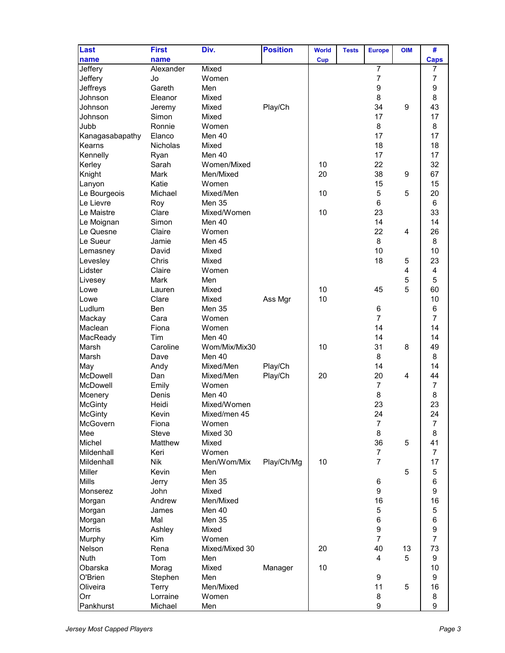| Last            | <b>First</b>    | Div.           | <b>Position</b> | <b>World</b> | <b>Tests</b> | <b>Europe</b>    | <b>OIM</b> | #              |
|-----------------|-----------------|----------------|-----------------|--------------|--------------|------------------|------------|----------------|
| name            | name            |                |                 | <b>Cup</b>   |              |                  |            | <b>Caps</b>    |
| Jeffery         | Alexander       | Mixed          |                 |              |              | $\overline{7}$   |            | 7              |
| Jeffery         | Jo              | Women          |                 |              |              | $\overline{7}$   |            | $\overline{7}$ |
| Jeffreys        | Gareth          | Men            |                 |              |              | 9                |            | 9              |
| Johnson         | Eleanor         | Mixed          |                 |              |              | 8                |            | 8              |
| Johnson         | Jeremy          | Mixed          | Play/Ch         |              |              | 34               | 9          | 43             |
| Johnson         | Simon           | Mixed          |                 |              |              | 17               |            | 17             |
| Jubb            | Ronnie          | Women          |                 |              |              | 8                |            | 8              |
| Kanagasabapathy | Elanco          | Men 40         |                 |              |              | 17               |            | 17             |
| Kearns          | <b>Nicholas</b> | Mixed          |                 |              |              | 18               |            | 18             |
| Kennelly        | Ryan            | Men 40         |                 |              |              | 17               |            | 17             |
| Kerley          | Sarah           | Women/Mixed    |                 | 10           |              | 22               |            | 32             |
| Knight          | Mark            | Men/Mixed      |                 | 20           |              | 38               | 9          | 67             |
| Lanyon          | Katie           | Women          |                 |              |              | 15               |            | 15             |
| Le Bourgeois    | Michael         | Mixed/Men      |                 | 10           |              | 5                | 5          | 20             |
| Le Lievre       | Roy             | Men 35         |                 |              |              | 6                |            | 6              |
| Le Maistre      | Clare           | Mixed/Women    |                 | 10           |              | 23               |            | 33             |
| Le Moignan      | Simon           | Men 40         |                 |              |              | 14               |            | 14             |
| Le Quesne       | Claire          | Women          |                 |              |              | 22               | 4          | 26             |
| Le Sueur        | Jamie           | Men 45         |                 |              |              | 8                |            | 8              |
| Lemasney        | David           | Mixed          |                 |              |              | 10               |            | 10             |
| Levesley        | Chris           | Mixed          |                 |              |              | 18               | 5          | 23             |
| Lidster         | Claire          | Women          |                 |              |              |                  | 4          | 4              |
| Livesey         | Mark            | Men            |                 |              |              |                  | 5          | 5              |
| Lowe            | Lauren          | Mixed          |                 | 10           |              | 45               | 5          | 60             |
| Lowe            | Clare           | Mixed          | Ass Mgr         | 10           |              |                  |            | 10             |
| Ludlum          | <b>Ben</b>      | <b>Men 35</b>  |                 |              |              | 6                |            | 6              |
| Mackay          | Cara            | Women          |                 |              |              | $\overline{7}$   |            | $\overline{7}$ |
| Maclean         | Fiona           | Women          |                 |              |              | 14               |            | 14             |
| MacReady        | Tim             | Men 40         |                 |              |              | 14               |            | 14             |
| Marsh           | Caroline        | Wom/Mix/Mix30  |                 | 10           |              | 31               | 8          | 49             |
| Marsh           | Dave            | Men 40         |                 |              |              | 8                |            | 8              |
| May             | Andy            | Mixed/Men      | Play/Ch         |              |              | 14               |            | 14             |
| McDowell        | Dan             | Mixed/Men      | Play/Ch         | 20           |              | 20               | 4          | 44             |
| McDowell        | Emily           | Women          |                 |              |              | $\overline{7}$   |            | $\overline{7}$ |
| Mcenery         | Denis           | Men 40         |                 |              |              | 8                |            | 8              |
| <b>McGinty</b>  | Heidi           | Mixed/Women    |                 |              |              | 23               |            | 23             |
| <b>McGinty</b>  | Kevin           | Mixed/men 45   |                 |              |              | 24               |            | 24             |
| McGovern        | Fiona           | Women          |                 |              |              | $\overline{7}$   |            | $\overline{7}$ |
| Mee             | Steve           | Mixed 30       |                 |              |              | 8                |            | 8              |
| Michel          | Matthew         | Mixed          |                 |              |              | 36               | 5          | 41             |
| Mildenhall      | Keri            | Women          |                 |              |              | $\overline{7}$   |            | $\overline{7}$ |
| Mildenhall      | <b>Nik</b>      | Men/Wom/Mix    | Play/Ch/Mg      | 10           |              | $\overline{7}$   |            | 17             |
| Miller          | Kevin           | Men            |                 |              |              |                  | 5          | $\mathbf 5$    |
| <b>Mills</b>    | Jerry           | Men 35         |                 |              |              | 6                |            | 6              |
| Monserez        | John            | Mixed          |                 |              |              | 9                |            | 9              |
| Morgan          | Andrew          | Men/Mixed      |                 |              |              | 16               |            | 16             |
| Morgan          | James           | Men 40         |                 |              |              | $\,$ 5 $\,$      |            | 5              |
| Morgan          | Mal             | Men 35         |                 |              |              | 6                |            | 6              |
| Morris          | Ashley          | Mixed          |                 |              |              | $\boldsymbol{9}$ |            | 9              |
| Murphy          | Kim             | Women          |                 |              |              | $\overline{7}$   |            | $\overline{7}$ |
| Nelson          | Rena            | Mixed/Mixed 30 |                 | 20           |              | 40               | 13         | 73             |
| Nuth            | Tom             | Men            |                 |              |              | 4                | 5          | 9              |
| Obarska         | Morag           | Mixed          | Manager         | 10           |              |                  |            | 10             |
| O'Brien         | Stephen         | Men            |                 |              |              | 9                |            | 9              |
| Oliveira        | Terry           | Men/Mixed      |                 |              |              | 11               | 5          | 16             |
| Orr             | Lorraine        | Women          |                 |              |              | 8                |            | 8              |
| Pankhurst       | Michael         | Men            |                 |              |              | 9                |            | 9              |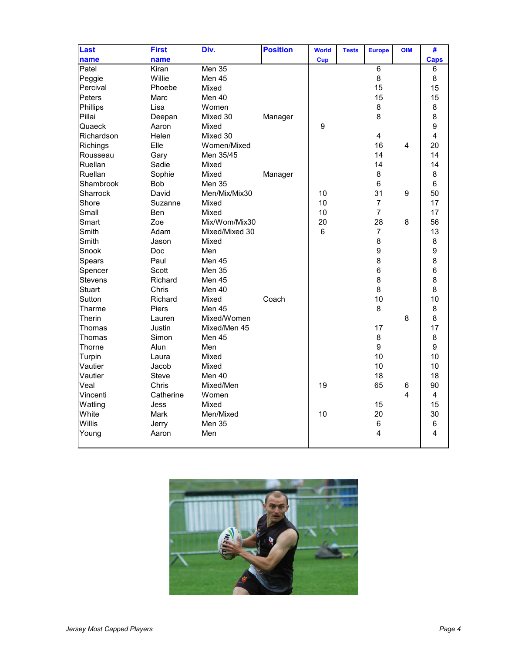| Last          | <b>First</b> | Div.           | <b>Position</b> | <b>World</b>     | <b>Tests</b> | <b>Europe</b>   | <b>OIM</b> | #              |
|---------------|--------------|----------------|-----------------|------------------|--------------|-----------------|------------|----------------|
| name          | name         |                |                 | <b>Cup</b>       |              |                 |            | <b>Caps</b>    |
| Patel         | Kiran        | Men $35$       |                 |                  |              | $6\phantom{1}$  |            | 6              |
| Peggie        | Willie       | Men 45         |                 |                  |              | 8               |            | 8              |
| Percival      | Phoebe       | Mixed          |                 |                  |              | 15              |            | 15             |
| Peters        | Marc         | Men 40         |                 |                  |              | 15              |            | 15             |
| Phillips      | Lisa         | Women          |                 |                  |              | 8               |            | 8              |
| Pillai        | Deepan       | Mixed 30       | Manager         |                  |              | 8               |            | 8              |
| Quaeck        | Aaron        | Mixed          |                 | $\boldsymbol{9}$ |              |                 |            | 9              |
| Richardson    | Helen        | Mixed 30       |                 |                  |              | 4               |            | $\overline{4}$ |
| Richings      | Elle         | Women/Mixed    |                 |                  |              | 16              | 4          | 20             |
| Rousseau      | Gary         | Men 35/45      |                 |                  |              | 14              |            | 14             |
| Ruellan       | Sadie        | Mixed          |                 |                  |              | 14              |            | 14             |
| Ruellan       | Sophie       | Mixed          | Manager         |                  |              | 8               |            | 8              |
| Shambrook     | Bob          | Men 35         |                 |                  |              | $6\phantom{1}6$ |            | 6              |
| Sharrock      | David        | Men/Mix/Mix30  |                 | 10               |              | 31              | 9          | 50             |
| Shore         | Suzanne      | Mixed          |                 | 10               |              | $\overline{7}$  |            | 17             |
| Small         | Ben          | Mixed          |                 | 10               |              | $\overline{7}$  |            | 17             |
| Smart         | Zoe          | Mix/Wom/Mix30  |                 | 20               |              | 28              | 8          | 56             |
| Smith         | Adam         | Mixed/Mixed 30 |                 | $6\phantom{1}$   |              | $\overline{7}$  |            | 13             |
| Smith         | Jason        | Mixed          |                 |                  |              | 8               |            | 8              |
| Snook         | Doc          | Men            |                 |                  |              | 9               |            | 9              |
| Spears        | Paul         | Men 45         |                 |                  |              | 8               |            | 8              |
| Spencer       | Scott        | Men 35         |                 |                  |              | $6\phantom{1}6$ |            | 6              |
| Stevens       | Richard      | Men 45         |                 |                  |              | 8               |            | 8              |
| <b>Stuart</b> | Chris        | Men 40         |                 |                  |              | 8               |            | 8              |
| Sutton        | Richard      | Mixed          | Coach           |                  |              | 10              |            | 10             |
| Tharme        | Piers        | <b>Men 45</b>  |                 |                  |              | 8               |            | 8              |
| Therin        | Lauren       | Mixed/Women    |                 |                  |              |                 | 8          | 8              |
| Thomas        | Justin       | Mixed/Men 45   |                 |                  |              | 17              |            | 17             |
| Thomas        | Simon        | <b>Men 45</b>  |                 |                  |              | 8               |            | 8              |
| Thorne        | Alun         | Men            |                 |                  |              | 9               |            | 9              |
| Turpin        | Laura        | Mixed          |                 |                  |              | 10              |            | 10             |
| Vautier       | Jacob        | Mixed          |                 |                  |              | 10              |            | 10             |
| Vautier       | <b>Steve</b> | Men 40         |                 |                  |              | 18              |            | 18             |
| Veal          | Chris        | Mixed/Men      |                 | 19               |              | 65              | 6          | 90             |
| Vincenti      | Catherine    | Women          |                 |                  |              |                 | 4          | 4              |
| Watling       | Jess         | Mixed          |                 |                  |              | 15              |            | 15             |
| White         | Mark         | Men/Mixed      |                 | 10               |              | 20              |            | 30             |
| Willis        | Jerry        | <b>Men 35</b>  |                 |                  |              | 6               |            | $\,6$          |
| Young         | Aaron        | Men            |                 |                  |              | 4               |            | 4              |
|               |              |                |                 |                  |              |                 |            |                |

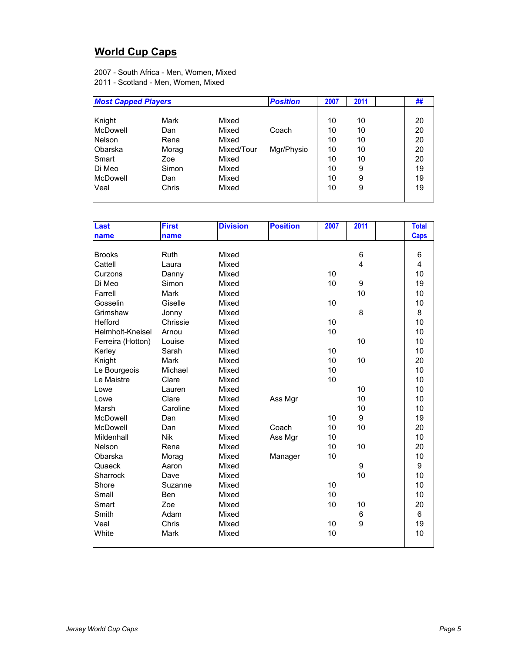## **World Cup Caps**

2007 - South Africa - Men, Women, Mixed 2011 - Scotland - Men, Women, Mixed

| <b>Most Capped Players</b> |       |            | <b>Position</b> | 2007 | 2011 | ## |
|----------------------------|-------|------------|-----------------|------|------|----|
|                            |       |            |                 |      |      |    |
| Knight                     | Mark  | Mixed      |                 | 10   | 10   | 20 |
| <b>McDowell</b>            | Dan   | Mixed      | Coach           | 10   | 10   | 20 |
| <b>Nelson</b>              | Rena  | Mixed      |                 | 10   | 10   | 20 |
| <b>Obarska</b>             | Morag | Mixed/Tour | Mgr/Physio      | 10   | 10   | 20 |
| Smart                      | Zoe   | Mixed      |                 | 10   | 10   | 20 |
| Di Meo                     | Simon | Mixed      |                 | 10   | 9    | 19 |
| McDowell                   | Dan   | Mixed      |                 | 10   | 9    | 19 |
| Veal                       | Chris | Mixed      |                 | 10   | 9    | 19 |
|                            |       |            |                 |      |      |    |

| Last              | <b>First</b> | <b>Division</b> | <b>Position</b> | 2007 | 2011 | <b>Total</b>            |
|-------------------|--------------|-----------------|-----------------|------|------|-------------------------|
| name              | name         |                 |                 |      |      | <b>Caps</b>             |
|                   |              |                 |                 |      |      |                         |
| <b>Brooks</b>     | Ruth         | Mixed           |                 |      | 6    | 6                       |
| Cattell           | Laura        | Mixed           |                 |      | 4    | $\overline{\mathbf{4}}$ |
| Curzons           | Danny        | Mixed           |                 | 10   |      | 10                      |
| Di Meo            | Simon        | Mixed           |                 | 10   | 9    | 19                      |
| Farrell           | Mark         | Mixed           |                 |      | 10   | 10                      |
| Gosselin          | Giselle      | Mixed           |                 | 10   |      | 10                      |
| Grimshaw          | Jonny        | Mixed           |                 |      | 8    | 8                       |
| Hefford           | Chrissie     | Mixed           |                 | 10   |      | 10                      |
| Helmholt-Kneisel  | Arnou        | Mixed           |                 | 10   |      | 10                      |
| Ferreira (Hotton) | Louise       | Mixed           |                 |      | 10   | 10                      |
| Kerley            | Sarah        | Mixed           |                 | 10   |      | 10                      |
| Knight            | Mark         | Mixed           |                 | 10   | 10   | 20                      |
| Le Bourgeois      | Michael      | Mixed           |                 | 10   |      | 10                      |
| Le Maistre        | Clare        | Mixed           |                 | 10   |      | 10                      |
| Lowe              | Lauren       | Mixed           |                 |      | 10   | 10                      |
| Lowe              | Clare        | Mixed           | Ass Mgr         |      | 10   | 10                      |
| Marsh             | Caroline     | Mixed           |                 |      | 10   | 10                      |
| McDowell          | Dan          | Mixed           |                 | 10   | 9    | 19                      |
| McDowell          | Dan          | Mixed           | Coach           | 10   | 10   | 20                      |
| Mildenhall        | <b>Nik</b>   | Mixed           | Ass Mgr         | 10   |      | 10                      |
| <b>Nelson</b>     | Rena         | Mixed           |                 | 10   | 10   | 20                      |
| Obarska           | Morag        | Mixed           | Manager         | 10   |      | 10                      |
| Quaeck            | Aaron        | Mixed           |                 |      | 9    | 9                       |
| Sharrock          | Dave         | Mixed           |                 |      | 10   | 10                      |
| Shore             | Suzanne      | Mixed           |                 | 10   |      | 10                      |
| Small             | Ben          | Mixed           |                 | 10   |      | 10                      |
| Smart             | Zoe          | Mixed           |                 | 10   | 10   | 20                      |
| Smith             | Adam         | Mixed           |                 |      | 6    | 6                       |
| Veal              | Chris        | Mixed           |                 | 10   | 9    | 19                      |
| White             | Mark         | Mixed           |                 | 10   |      | 10                      |
|                   |              |                 |                 |      |      |                         |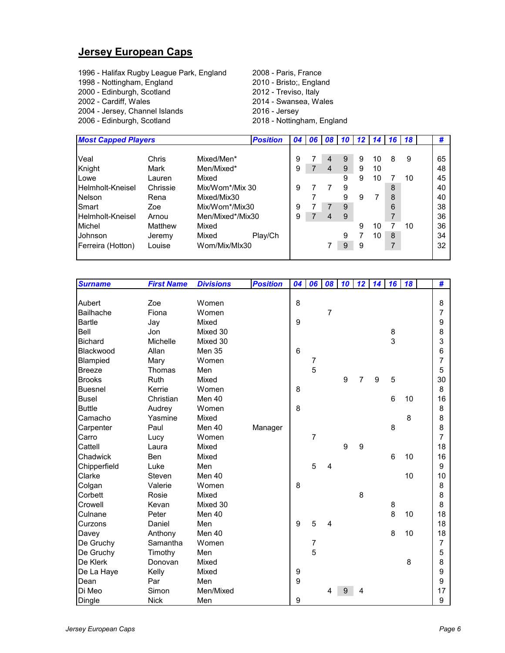#### **Jersey European Caps**

- 1996 Halifax Rugby League Park, England 2008 Paris, France<br>1998 Nottingham, England 2010 Bristo;, England
- 1998 Nottingham, England
- 
- 
- 2004 Jersey, Channel Islands 2016 Jersey
- 
- 2000 Edinburgh, Scotland 2012 Treviso, Italy 2014 - Swansea, Wales
- 2006 Edinburgh, Scotland 2018 Nottingham, England

| <b>Most Capped Players</b> |          |                  | <b>Position</b> | 04 | 06 | $\overline{08}$ |   | $10$ 12 | 14 | 16 I | <b>18</b> | #  |
|----------------------------|----------|------------------|-----------------|----|----|-----------------|---|---------|----|------|-----------|----|
|                            |          |                  |                 |    |    |                 |   |         |    |      |           |    |
| Veal                       | Chris    | Mixed/Men*       |                 | 9  |    | 4               | 9 | 9       | 10 | 8    | 9         | 65 |
| Knight                     | Mark     | Men/Mixed*       |                 | 9  |    | $\overline{4}$  | 9 | 9       | 10 |      |           | 48 |
| Lowe                       | Lauren   | Mixed            |                 |    |    |                 | 9 | 9       | 10 |      | 10        | 45 |
| Helmholt-Kneisel           | Chrissie | Mix/Wom*/Mix 30  |                 | 9  |    |                 | 9 |         |    | 8    |           | 40 |
| <b>Nelson</b>              | Rena     | Mixed/Mix30      |                 |    |    |                 | 9 | 9       | 7  | 8    |           | 40 |
| Smart                      | Zoe      | Mix/Wom*/Mix30   |                 | 9  |    |                 | 9 |         |    | 6    |           | 38 |
| Helmholt-Kneisel           | Arnou    | Men/Mixed*/Mix30 |                 | 9  |    | 4               | 9 |         |    |      |           | 36 |
| Michel                     | Matthew  | Mixed            |                 |    |    |                 |   | 9       | 10 |      | 10        | 36 |
| Johnson                    | Jeremy   | Mixed            | Play/Ch         |    |    |                 | 9 |         | 10 | 8    |           | 34 |
| Ferreira (Hotton)          | Louise   | Wom/Mix/MIx30    |                 |    |    |                 | 9 | 9       |    | 7    |           | 32 |
|                            |          |                  |                 |    |    |                 |   |         |    |      |           |    |

| <b>Surname</b> | <b>First Name</b> | <b>Divisions</b> | <b>Position</b> | 04               | 06               | 08             | 10 | 12 | 14 | 16 | 18 | #              |
|----------------|-------------------|------------------|-----------------|------------------|------------------|----------------|----|----|----|----|----|----------------|
|                |                   |                  |                 |                  |                  |                |    |    |    |    |    |                |
| Aubert         | Zoe               | Women            |                 | 8                |                  |                |    |    |    |    |    | 8              |
| Bailhache      | Fiona             | Women            |                 |                  |                  | $\overline{7}$ |    |    |    |    |    | 7              |
| <b>Bartle</b>  | Jay               | Mixed            |                 | $\boldsymbol{9}$ |                  |                |    |    |    |    |    | 9              |
| Bell           | Jon               | Mixed 30         |                 |                  |                  |                |    |    |    | 8  |    | 8              |
| <b>Bichard</b> | Michelle          | Mixed 30         |                 |                  |                  |                |    |    |    | 3  |    | 3              |
| Blackwood      | Allan             | <b>Men 35</b>    |                 | 6                |                  |                |    |    |    |    |    | 6              |
| Blampied       | Mary              | Women            |                 |                  | 7                |                |    |    |    |    |    | $\overline{7}$ |
| <b>Breeze</b>  | Thomas            | Men              |                 |                  | 5                |                |    |    |    |    |    | 5              |
| <b>Brooks</b>  | Ruth              | Mixed            |                 |                  |                  |                | 9  | 7  | 9  | 5  |    | 30             |
| <b>Buesnel</b> | Kerrie            | Women            |                 | 8                |                  |                |    |    |    |    |    | 8              |
| <b>Busel</b>   | Christian         | Men 40           |                 |                  |                  |                |    |    |    | 6  | 10 | 16             |
| <b>Buttle</b>  | Audrey            | Women            |                 | 8                |                  |                |    |    |    |    |    | 8              |
| Camacho        | Yasmine           | Mixed            |                 |                  |                  |                |    |    |    |    | 8  | 8              |
| Carpenter      | Paul              | Men 40           | Manager         |                  |                  |                |    |    |    | 8  |    | 8              |
| Carro          | Lucy              | Women            |                 |                  | 7                |                |    |    |    |    |    | $\overline{7}$ |
| Cattell        | Laura             | Mixed            |                 |                  |                  |                | 9  | 9  |    |    |    | 18             |
| Chadwick       | Ben               | Mixed            |                 |                  |                  |                |    |    |    | 6  | 10 | 16             |
| Chipperfield   | Luke              | Men              |                 |                  | 5                | 4              |    |    |    |    |    | 9              |
| Clarke         | Steven            | Men 40           |                 |                  |                  |                |    |    |    |    | 10 | 10             |
| Colgan         | Valerie           | Women            |                 | 8                |                  |                |    |    |    |    |    | 8              |
| Corbett        | Rosie             | Mixed            |                 |                  |                  |                |    | 8  |    |    |    | 8              |
| Crowell        | Kevan             | Mixed 30         |                 |                  |                  |                |    |    |    | 8  |    | 8              |
| Culnane        | Peter             | Men 40           |                 |                  |                  |                |    |    |    | 8  | 10 | 18             |
| Curzons        | Daniel            | Men              |                 | 9                | 5                | 4              |    |    |    |    |    | 18             |
| Davey          | Anthony           | Men 40           |                 |                  |                  |                |    |    |    | 8  | 10 | 18             |
| De Gruchy      | Samantha          | Women            |                 |                  | $\boldsymbol{7}$ |                |    |    |    |    |    | $\overline{7}$ |
| De Gruchy      | Timothy           | Men              |                 |                  | 5                |                |    |    |    |    |    | 5              |
| De Klerk       | Donovan           | Mixed            |                 |                  |                  |                |    |    |    |    | 8  | 8              |
| De La Haye     | Kelly             | Mixed            |                 | 9                |                  |                |    |    |    |    |    | 9              |
| Dean           | Par               | Men              |                 | 9                |                  |                |    |    |    |    |    | 9              |
| Di Meo         | Simon             | Men/Mixed        |                 |                  |                  | 4              |    | 4  |    |    |    | 17             |
| Dingle         | <b>Nick</b>       | Men              |                 | $\boldsymbol{9}$ |                  |                |    |    |    |    |    | 9              |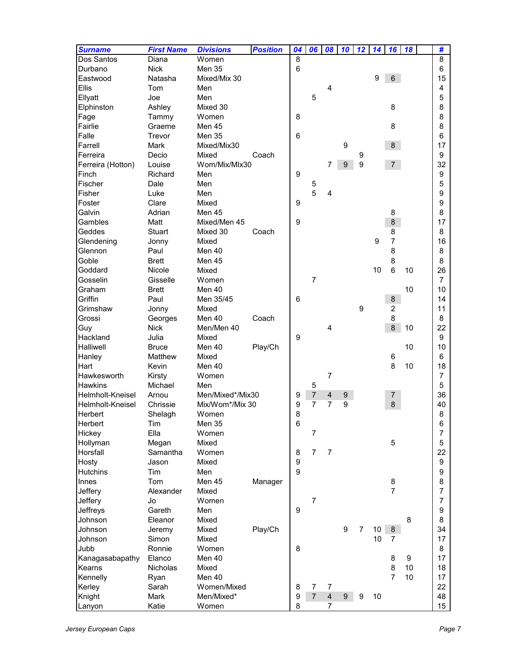| 8<br>Dos Santos<br>Women<br>8<br>Diana<br>6<br><b>Nick</b><br>Men 35<br>Durbano<br>6<br>9<br>6<br>15<br>Eastwood<br>Natasha<br>Mixed/Mix 30<br><b>Ellis</b><br>Tom<br>Men<br>4<br>4<br>5<br>Ellyatt<br>Joe<br>Men<br>5<br>8<br>8<br>Elphinston<br>Ashley<br>Mixed 30<br>8<br>Fage<br>Women<br>8<br>Tammy<br>8<br>Fairlie<br>Graeme<br>Men 45<br>8<br>6<br>Falle<br>Men 35<br>Trevor<br>6<br>Farrell<br>Mixed/Mix30<br>$\boldsymbol{9}$<br>8<br><b>Mark</b><br>17<br>Ferreira<br>9<br>Decio<br>Mixed<br>Coach<br>9<br>9<br>Wom/Mix/MIx30<br>7<br>9<br>7 <sup>7</sup><br>32<br>Ferreira (Hotton)<br>Louise<br>9<br>Finch<br>9<br>Richard<br>Men<br>Fischer<br>Dale<br>Men<br>5<br>5<br>5<br>Fisher<br>Luke<br>Men<br>4<br>9<br>Foster<br>Clare<br>Mixed<br>9<br>9<br>Galvin<br>Men 45<br>Adrian<br>8<br>8<br>$\boldsymbol{9}$<br>8<br>Gambles<br>Matt<br>Mixed/Men 45<br>17<br>Geddes<br><b>Stuart</b><br>Mixed 30<br>Coach<br>8<br>8<br>Glendening<br>9<br>7<br>16<br>Jonny<br>Mixed<br>8<br>Men 40<br>8<br>Glennon<br>Paul<br>8<br>Goble<br><b>Brett</b><br>Men 45<br>8<br>6<br>Goddard<br>10<br>26<br>Nicole<br>Mixed<br>10<br>$\overline{7}$<br>$\overline{7}$<br>Gosselin<br>Gisselle<br>Women<br>Graham<br>10<br>10<br><b>Brett</b><br>Men 40<br>Griffin<br>Men 35/45<br>6<br>Paul<br>8<br>14<br>9<br>$\overline{c}$<br>Grimshaw<br>Mixed<br>11<br>Jonny<br>Grossi<br>Men 40<br>8<br>8<br>Georges<br>Coach<br>8<br>Guy<br>Men/Men 40<br>10<br>22<br><b>Nick</b><br>4<br>9<br>Hackland<br>Julia<br>9<br>Mixed<br>Halliwell<br>10<br><b>Bruce</b><br>Men 40<br>Play/Ch<br>10<br>Hanley<br>Matthew<br>Mixed<br>6<br>6<br>Hart<br>8<br>10<br>Kevin<br>Men 40<br>18<br>$\overline{7}$<br>Hawkesworth<br>Kirsty<br>Women<br>7<br><b>Hawkins</b><br>Michael<br>Men<br>5<br>5<br>$\overline{7}$<br>Helmholt-Kneisel<br>Men/Mixed*/Mix30<br>36<br>Arnou<br>$\overline{4}$<br>$\boldsymbol{9}$<br>9<br>7<br>9<br>7<br>$\overline{7}$<br>9<br>Mix/Wom*/Mix 30<br>8<br>40<br>Helmholt-Kneisel<br>Chrissie<br>8<br>Herbert<br>Shelagh<br>Women<br>8<br>6<br>Tim<br>Herbert<br><b>Men 35</b><br>6<br>Ella<br>Hickey<br>Women<br>$\overline{7}$<br>7<br>5<br>Hollyman<br>Megan<br>Mixed<br>5<br>$\overline{7}$<br>$\overline{7}$<br>22<br>Horsfall<br>Samantha<br>Women<br>8<br>9<br>Hosty<br>9<br>Jason<br>Mixed<br>9<br><b>Hutchins</b><br>Tim<br>Men<br>9<br>8<br>Innes<br>Tom<br>Men 45<br>Manager<br>8<br>$\overline{7}$<br>Jeffery<br>Alexander<br>Mixed<br>7<br>$\overline{7}$<br>Women<br>Jeffery<br>Jo<br>7<br>9<br>Jeffreys<br>Gareth<br>Men<br>9<br>8<br>Johnson<br>Eleanor<br>Mixed<br>8<br>Play/Ch<br>9<br>10<br>34<br>Johnson<br>Mixed<br>7<br>8<br>Jeremy<br>10<br>Johnson<br>Simon<br>Mixed<br>$\overline{7}$<br>17<br>8<br>Jubb<br>Ronnie<br>Women<br>8<br>$\boldsymbol{9}$<br>17<br>Kanagasabapathy<br>Elanco<br>Men 40<br>8<br>8<br>10<br>Nicholas<br>Mixed<br>18<br>Kearns<br>7<br>10<br>Men 40<br>17<br>Kennelly<br>Ryan<br>22<br>$\overline{7}$<br>$\overline{7}$<br>Kerley<br>Sarah<br>Women/Mixed<br>8<br>$\overline{7}$<br>9<br>Mark<br>Men/Mixed*<br>$\overline{4}$<br>9<br>$\boldsymbol{9}$<br>10<br>48<br>Knight<br>$\overline{7}$ | <b>Surname</b> | <b>First Name</b> | <b>Divisions</b> | <b>Position</b> | 04 | 06 | 08 | 10 | 12 | 14 | 16 | 18 | #  |
|-----------------------------------------------------------------------------------------------------------------------------------------------------------------------------------------------------------------------------------------------------------------------------------------------------------------------------------------------------------------------------------------------------------------------------------------------------------------------------------------------------------------------------------------------------------------------------------------------------------------------------------------------------------------------------------------------------------------------------------------------------------------------------------------------------------------------------------------------------------------------------------------------------------------------------------------------------------------------------------------------------------------------------------------------------------------------------------------------------------------------------------------------------------------------------------------------------------------------------------------------------------------------------------------------------------------------------------------------------------------------------------------------------------------------------------------------------------------------------------------------------------------------------------------------------------------------------------------------------------------------------------------------------------------------------------------------------------------------------------------------------------------------------------------------------------------------------------------------------------------------------------------------------------------------------------------------------------------------------------------------------------------------------------------------------------------------------------------------------------------------------------------------------------------------------------------------------------------------------------------------------------------------------------------------------------------------------------------------------------------------------------------------------------------------------------------------------------------------------------------------------------------------------------------------------------------------------------------------------------------------------------------------------------------------------------------------------------------------------------------------------------------------------------------------------------------------------------------------------------------------------------------------------------------------------------------------------------------------------------------------------------------------------------------------------------------------------------------------------------------------------------------------------|----------------|-------------------|------------------|-----------------|----|----|----|----|----|----|----|----|----|
|                                                                                                                                                                                                                                                                                                                                                                                                                                                                                                                                                                                                                                                                                                                                                                                                                                                                                                                                                                                                                                                                                                                                                                                                                                                                                                                                                                                                                                                                                                                                                                                                                                                                                                                                                                                                                                                                                                                                                                                                                                                                                                                                                                                                                                                                                                                                                                                                                                                                                                                                                                                                                                                                                                                                                                                                                                                                                                                                                                                                                                                                                                                                                     |                |                   |                  |                 |    |    |    |    |    |    |    |    |    |
|                                                                                                                                                                                                                                                                                                                                                                                                                                                                                                                                                                                                                                                                                                                                                                                                                                                                                                                                                                                                                                                                                                                                                                                                                                                                                                                                                                                                                                                                                                                                                                                                                                                                                                                                                                                                                                                                                                                                                                                                                                                                                                                                                                                                                                                                                                                                                                                                                                                                                                                                                                                                                                                                                                                                                                                                                                                                                                                                                                                                                                                                                                                                                     |                |                   |                  |                 |    |    |    |    |    |    |    |    |    |
|                                                                                                                                                                                                                                                                                                                                                                                                                                                                                                                                                                                                                                                                                                                                                                                                                                                                                                                                                                                                                                                                                                                                                                                                                                                                                                                                                                                                                                                                                                                                                                                                                                                                                                                                                                                                                                                                                                                                                                                                                                                                                                                                                                                                                                                                                                                                                                                                                                                                                                                                                                                                                                                                                                                                                                                                                                                                                                                                                                                                                                                                                                                                                     |                |                   |                  |                 |    |    |    |    |    |    |    |    |    |
|                                                                                                                                                                                                                                                                                                                                                                                                                                                                                                                                                                                                                                                                                                                                                                                                                                                                                                                                                                                                                                                                                                                                                                                                                                                                                                                                                                                                                                                                                                                                                                                                                                                                                                                                                                                                                                                                                                                                                                                                                                                                                                                                                                                                                                                                                                                                                                                                                                                                                                                                                                                                                                                                                                                                                                                                                                                                                                                                                                                                                                                                                                                                                     |                |                   |                  |                 |    |    |    |    |    |    |    |    |    |
|                                                                                                                                                                                                                                                                                                                                                                                                                                                                                                                                                                                                                                                                                                                                                                                                                                                                                                                                                                                                                                                                                                                                                                                                                                                                                                                                                                                                                                                                                                                                                                                                                                                                                                                                                                                                                                                                                                                                                                                                                                                                                                                                                                                                                                                                                                                                                                                                                                                                                                                                                                                                                                                                                                                                                                                                                                                                                                                                                                                                                                                                                                                                                     |                |                   |                  |                 |    |    |    |    |    |    |    |    |    |
|                                                                                                                                                                                                                                                                                                                                                                                                                                                                                                                                                                                                                                                                                                                                                                                                                                                                                                                                                                                                                                                                                                                                                                                                                                                                                                                                                                                                                                                                                                                                                                                                                                                                                                                                                                                                                                                                                                                                                                                                                                                                                                                                                                                                                                                                                                                                                                                                                                                                                                                                                                                                                                                                                                                                                                                                                                                                                                                                                                                                                                                                                                                                                     |                |                   |                  |                 |    |    |    |    |    |    |    |    |    |
|                                                                                                                                                                                                                                                                                                                                                                                                                                                                                                                                                                                                                                                                                                                                                                                                                                                                                                                                                                                                                                                                                                                                                                                                                                                                                                                                                                                                                                                                                                                                                                                                                                                                                                                                                                                                                                                                                                                                                                                                                                                                                                                                                                                                                                                                                                                                                                                                                                                                                                                                                                                                                                                                                                                                                                                                                                                                                                                                                                                                                                                                                                                                                     |                |                   |                  |                 |    |    |    |    |    |    |    |    |    |
|                                                                                                                                                                                                                                                                                                                                                                                                                                                                                                                                                                                                                                                                                                                                                                                                                                                                                                                                                                                                                                                                                                                                                                                                                                                                                                                                                                                                                                                                                                                                                                                                                                                                                                                                                                                                                                                                                                                                                                                                                                                                                                                                                                                                                                                                                                                                                                                                                                                                                                                                                                                                                                                                                                                                                                                                                                                                                                                                                                                                                                                                                                                                                     |                |                   |                  |                 |    |    |    |    |    |    |    |    |    |
|                                                                                                                                                                                                                                                                                                                                                                                                                                                                                                                                                                                                                                                                                                                                                                                                                                                                                                                                                                                                                                                                                                                                                                                                                                                                                                                                                                                                                                                                                                                                                                                                                                                                                                                                                                                                                                                                                                                                                                                                                                                                                                                                                                                                                                                                                                                                                                                                                                                                                                                                                                                                                                                                                                                                                                                                                                                                                                                                                                                                                                                                                                                                                     |                |                   |                  |                 |    |    |    |    |    |    |    |    |    |
|                                                                                                                                                                                                                                                                                                                                                                                                                                                                                                                                                                                                                                                                                                                                                                                                                                                                                                                                                                                                                                                                                                                                                                                                                                                                                                                                                                                                                                                                                                                                                                                                                                                                                                                                                                                                                                                                                                                                                                                                                                                                                                                                                                                                                                                                                                                                                                                                                                                                                                                                                                                                                                                                                                                                                                                                                                                                                                                                                                                                                                                                                                                                                     |                |                   |                  |                 |    |    |    |    |    |    |    |    |    |
|                                                                                                                                                                                                                                                                                                                                                                                                                                                                                                                                                                                                                                                                                                                                                                                                                                                                                                                                                                                                                                                                                                                                                                                                                                                                                                                                                                                                                                                                                                                                                                                                                                                                                                                                                                                                                                                                                                                                                                                                                                                                                                                                                                                                                                                                                                                                                                                                                                                                                                                                                                                                                                                                                                                                                                                                                                                                                                                                                                                                                                                                                                                                                     |                |                   |                  |                 |    |    |    |    |    |    |    |    |    |
|                                                                                                                                                                                                                                                                                                                                                                                                                                                                                                                                                                                                                                                                                                                                                                                                                                                                                                                                                                                                                                                                                                                                                                                                                                                                                                                                                                                                                                                                                                                                                                                                                                                                                                                                                                                                                                                                                                                                                                                                                                                                                                                                                                                                                                                                                                                                                                                                                                                                                                                                                                                                                                                                                                                                                                                                                                                                                                                                                                                                                                                                                                                                                     |                |                   |                  |                 |    |    |    |    |    |    |    |    |    |
|                                                                                                                                                                                                                                                                                                                                                                                                                                                                                                                                                                                                                                                                                                                                                                                                                                                                                                                                                                                                                                                                                                                                                                                                                                                                                                                                                                                                                                                                                                                                                                                                                                                                                                                                                                                                                                                                                                                                                                                                                                                                                                                                                                                                                                                                                                                                                                                                                                                                                                                                                                                                                                                                                                                                                                                                                                                                                                                                                                                                                                                                                                                                                     |                |                   |                  |                 |    |    |    |    |    |    |    |    |    |
|                                                                                                                                                                                                                                                                                                                                                                                                                                                                                                                                                                                                                                                                                                                                                                                                                                                                                                                                                                                                                                                                                                                                                                                                                                                                                                                                                                                                                                                                                                                                                                                                                                                                                                                                                                                                                                                                                                                                                                                                                                                                                                                                                                                                                                                                                                                                                                                                                                                                                                                                                                                                                                                                                                                                                                                                                                                                                                                                                                                                                                                                                                                                                     |                |                   |                  |                 |    |    |    |    |    |    |    |    |    |
|                                                                                                                                                                                                                                                                                                                                                                                                                                                                                                                                                                                                                                                                                                                                                                                                                                                                                                                                                                                                                                                                                                                                                                                                                                                                                                                                                                                                                                                                                                                                                                                                                                                                                                                                                                                                                                                                                                                                                                                                                                                                                                                                                                                                                                                                                                                                                                                                                                                                                                                                                                                                                                                                                                                                                                                                                                                                                                                                                                                                                                                                                                                                                     |                |                   |                  |                 |    |    |    |    |    |    |    |    |    |
|                                                                                                                                                                                                                                                                                                                                                                                                                                                                                                                                                                                                                                                                                                                                                                                                                                                                                                                                                                                                                                                                                                                                                                                                                                                                                                                                                                                                                                                                                                                                                                                                                                                                                                                                                                                                                                                                                                                                                                                                                                                                                                                                                                                                                                                                                                                                                                                                                                                                                                                                                                                                                                                                                                                                                                                                                                                                                                                                                                                                                                                                                                                                                     |                |                   |                  |                 |    |    |    |    |    |    |    |    |    |
|                                                                                                                                                                                                                                                                                                                                                                                                                                                                                                                                                                                                                                                                                                                                                                                                                                                                                                                                                                                                                                                                                                                                                                                                                                                                                                                                                                                                                                                                                                                                                                                                                                                                                                                                                                                                                                                                                                                                                                                                                                                                                                                                                                                                                                                                                                                                                                                                                                                                                                                                                                                                                                                                                                                                                                                                                                                                                                                                                                                                                                                                                                                                                     |                |                   |                  |                 |    |    |    |    |    |    |    |    |    |
|                                                                                                                                                                                                                                                                                                                                                                                                                                                                                                                                                                                                                                                                                                                                                                                                                                                                                                                                                                                                                                                                                                                                                                                                                                                                                                                                                                                                                                                                                                                                                                                                                                                                                                                                                                                                                                                                                                                                                                                                                                                                                                                                                                                                                                                                                                                                                                                                                                                                                                                                                                                                                                                                                                                                                                                                                                                                                                                                                                                                                                                                                                                                                     |                |                   |                  |                 |    |    |    |    |    |    |    |    |    |
|                                                                                                                                                                                                                                                                                                                                                                                                                                                                                                                                                                                                                                                                                                                                                                                                                                                                                                                                                                                                                                                                                                                                                                                                                                                                                                                                                                                                                                                                                                                                                                                                                                                                                                                                                                                                                                                                                                                                                                                                                                                                                                                                                                                                                                                                                                                                                                                                                                                                                                                                                                                                                                                                                                                                                                                                                                                                                                                                                                                                                                                                                                                                                     |                |                   |                  |                 |    |    |    |    |    |    |    |    |    |
|                                                                                                                                                                                                                                                                                                                                                                                                                                                                                                                                                                                                                                                                                                                                                                                                                                                                                                                                                                                                                                                                                                                                                                                                                                                                                                                                                                                                                                                                                                                                                                                                                                                                                                                                                                                                                                                                                                                                                                                                                                                                                                                                                                                                                                                                                                                                                                                                                                                                                                                                                                                                                                                                                                                                                                                                                                                                                                                                                                                                                                                                                                                                                     |                |                   |                  |                 |    |    |    |    |    |    |    |    |    |
|                                                                                                                                                                                                                                                                                                                                                                                                                                                                                                                                                                                                                                                                                                                                                                                                                                                                                                                                                                                                                                                                                                                                                                                                                                                                                                                                                                                                                                                                                                                                                                                                                                                                                                                                                                                                                                                                                                                                                                                                                                                                                                                                                                                                                                                                                                                                                                                                                                                                                                                                                                                                                                                                                                                                                                                                                                                                                                                                                                                                                                                                                                                                                     |                |                   |                  |                 |    |    |    |    |    |    |    |    |    |
|                                                                                                                                                                                                                                                                                                                                                                                                                                                                                                                                                                                                                                                                                                                                                                                                                                                                                                                                                                                                                                                                                                                                                                                                                                                                                                                                                                                                                                                                                                                                                                                                                                                                                                                                                                                                                                                                                                                                                                                                                                                                                                                                                                                                                                                                                                                                                                                                                                                                                                                                                                                                                                                                                                                                                                                                                                                                                                                                                                                                                                                                                                                                                     |                |                   |                  |                 |    |    |    |    |    |    |    |    |    |
|                                                                                                                                                                                                                                                                                                                                                                                                                                                                                                                                                                                                                                                                                                                                                                                                                                                                                                                                                                                                                                                                                                                                                                                                                                                                                                                                                                                                                                                                                                                                                                                                                                                                                                                                                                                                                                                                                                                                                                                                                                                                                                                                                                                                                                                                                                                                                                                                                                                                                                                                                                                                                                                                                                                                                                                                                                                                                                                                                                                                                                                                                                                                                     |                |                   |                  |                 |    |    |    |    |    |    |    |    |    |
|                                                                                                                                                                                                                                                                                                                                                                                                                                                                                                                                                                                                                                                                                                                                                                                                                                                                                                                                                                                                                                                                                                                                                                                                                                                                                                                                                                                                                                                                                                                                                                                                                                                                                                                                                                                                                                                                                                                                                                                                                                                                                                                                                                                                                                                                                                                                                                                                                                                                                                                                                                                                                                                                                                                                                                                                                                                                                                                                                                                                                                                                                                                                                     |                |                   |                  |                 |    |    |    |    |    |    |    |    |    |
|                                                                                                                                                                                                                                                                                                                                                                                                                                                                                                                                                                                                                                                                                                                                                                                                                                                                                                                                                                                                                                                                                                                                                                                                                                                                                                                                                                                                                                                                                                                                                                                                                                                                                                                                                                                                                                                                                                                                                                                                                                                                                                                                                                                                                                                                                                                                                                                                                                                                                                                                                                                                                                                                                                                                                                                                                                                                                                                                                                                                                                                                                                                                                     |                |                   |                  |                 |    |    |    |    |    |    |    |    |    |
|                                                                                                                                                                                                                                                                                                                                                                                                                                                                                                                                                                                                                                                                                                                                                                                                                                                                                                                                                                                                                                                                                                                                                                                                                                                                                                                                                                                                                                                                                                                                                                                                                                                                                                                                                                                                                                                                                                                                                                                                                                                                                                                                                                                                                                                                                                                                                                                                                                                                                                                                                                                                                                                                                                                                                                                                                                                                                                                                                                                                                                                                                                                                                     |                |                   |                  |                 |    |    |    |    |    |    |    |    |    |
|                                                                                                                                                                                                                                                                                                                                                                                                                                                                                                                                                                                                                                                                                                                                                                                                                                                                                                                                                                                                                                                                                                                                                                                                                                                                                                                                                                                                                                                                                                                                                                                                                                                                                                                                                                                                                                                                                                                                                                                                                                                                                                                                                                                                                                                                                                                                                                                                                                                                                                                                                                                                                                                                                                                                                                                                                                                                                                                                                                                                                                                                                                                                                     |                |                   |                  |                 |    |    |    |    |    |    |    |    |    |
|                                                                                                                                                                                                                                                                                                                                                                                                                                                                                                                                                                                                                                                                                                                                                                                                                                                                                                                                                                                                                                                                                                                                                                                                                                                                                                                                                                                                                                                                                                                                                                                                                                                                                                                                                                                                                                                                                                                                                                                                                                                                                                                                                                                                                                                                                                                                                                                                                                                                                                                                                                                                                                                                                                                                                                                                                                                                                                                                                                                                                                                                                                                                                     |                |                   |                  |                 |    |    |    |    |    |    |    |    |    |
|                                                                                                                                                                                                                                                                                                                                                                                                                                                                                                                                                                                                                                                                                                                                                                                                                                                                                                                                                                                                                                                                                                                                                                                                                                                                                                                                                                                                                                                                                                                                                                                                                                                                                                                                                                                                                                                                                                                                                                                                                                                                                                                                                                                                                                                                                                                                                                                                                                                                                                                                                                                                                                                                                                                                                                                                                                                                                                                                                                                                                                                                                                                                                     |                |                   |                  |                 |    |    |    |    |    |    |    |    |    |
|                                                                                                                                                                                                                                                                                                                                                                                                                                                                                                                                                                                                                                                                                                                                                                                                                                                                                                                                                                                                                                                                                                                                                                                                                                                                                                                                                                                                                                                                                                                                                                                                                                                                                                                                                                                                                                                                                                                                                                                                                                                                                                                                                                                                                                                                                                                                                                                                                                                                                                                                                                                                                                                                                                                                                                                                                                                                                                                                                                                                                                                                                                                                                     |                |                   |                  |                 |    |    |    |    |    |    |    |    |    |
|                                                                                                                                                                                                                                                                                                                                                                                                                                                                                                                                                                                                                                                                                                                                                                                                                                                                                                                                                                                                                                                                                                                                                                                                                                                                                                                                                                                                                                                                                                                                                                                                                                                                                                                                                                                                                                                                                                                                                                                                                                                                                                                                                                                                                                                                                                                                                                                                                                                                                                                                                                                                                                                                                                                                                                                                                                                                                                                                                                                                                                                                                                                                                     |                |                   |                  |                 |    |    |    |    |    |    |    |    |    |
|                                                                                                                                                                                                                                                                                                                                                                                                                                                                                                                                                                                                                                                                                                                                                                                                                                                                                                                                                                                                                                                                                                                                                                                                                                                                                                                                                                                                                                                                                                                                                                                                                                                                                                                                                                                                                                                                                                                                                                                                                                                                                                                                                                                                                                                                                                                                                                                                                                                                                                                                                                                                                                                                                                                                                                                                                                                                                                                                                                                                                                                                                                                                                     |                |                   |                  |                 |    |    |    |    |    |    |    |    |    |
|                                                                                                                                                                                                                                                                                                                                                                                                                                                                                                                                                                                                                                                                                                                                                                                                                                                                                                                                                                                                                                                                                                                                                                                                                                                                                                                                                                                                                                                                                                                                                                                                                                                                                                                                                                                                                                                                                                                                                                                                                                                                                                                                                                                                                                                                                                                                                                                                                                                                                                                                                                                                                                                                                                                                                                                                                                                                                                                                                                                                                                                                                                                                                     |                |                   |                  |                 |    |    |    |    |    |    |    |    |    |
|                                                                                                                                                                                                                                                                                                                                                                                                                                                                                                                                                                                                                                                                                                                                                                                                                                                                                                                                                                                                                                                                                                                                                                                                                                                                                                                                                                                                                                                                                                                                                                                                                                                                                                                                                                                                                                                                                                                                                                                                                                                                                                                                                                                                                                                                                                                                                                                                                                                                                                                                                                                                                                                                                                                                                                                                                                                                                                                                                                                                                                                                                                                                                     |                |                   |                  |                 |    |    |    |    |    |    |    |    |    |
|                                                                                                                                                                                                                                                                                                                                                                                                                                                                                                                                                                                                                                                                                                                                                                                                                                                                                                                                                                                                                                                                                                                                                                                                                                                                                                                                                                                                                                                                                                                                                                                                                                                                                                                                                                                                                                                                                                                                                                                                                                                                                                                                                                                                                                                                                                                                                                                                                                                                                                                                                                                                                                                                                                                                                                                                                                                                                                                                                                                                                                                                                                                                                     |                |                   |                  |                 |    |    |    |    |    |    |    |    |    |
|                                                                                                                                                                                                                                                                                                                                                                                                                                                                                                                                                                                                                                                                                                                                                                                                                                                                                                                                                                                                                                                                                                                                                                                                                                                                                                                                                                                                                                                                                                                                                                                                                                                                                                                                                                                                                                                                                                                                                                                                                                                                                                                                                                                                                                                                                                                                                                                                                                                                                                                                                                                                                                                                                                                                                                                                                                                                                                                                                                                                                                                                                                                                                     |                |                   |                  |                 |    |    |    |    |    |    |    |    |    |
|                                                                                                                                                                                                                                                                                                                                                                                                                                                                                                                                                                                                                                                                                                                                                                                                                                                                                                                                                                                                                                                                                                                                                                                                                                                                                                                                                                                                                                                                                                                                                                                                                                                                                                                                                                                                                                                                                                                                                                                                                                                                                                                                                                                                                                                                                                                                                                                                                                                                                                                                                                                                                                                                                                                                                                                                                                                                                                                                                                                                                                                                                                                                                     |                |                   |                  |                 |    |    |    |    |    |    |    |    |    |
|                                                                                                                                                                                                                                                                                                                                                                                                                                                                                                                                                                                                                                                                                                                                                                                                                                                                                                                                                                                                                                                                                                                                                                                                                                                                                                                                                                                                                                                                                                                                                                                                                                                                                                                                                                                                                                                                                                                                                                                                                                                                                                                                                                                                                                                                                                                                                                                                                                                                                                                                                                                                                                                                                                                                                                                                                                                                                                                                                                                                                                                                                                                                                     |                |                   |                  |                 |    |    |    |    |    |    |    |    |    |
|                                                                                                                                                                                                                                                                                                                                                                                                                                                                                                                                                                                                                                                                                                                                                                                                                                                                                                                                                                                                                                                                                                                                                                                                                                                                                                                                                                                                                                                                                                                                                                                                                                                                                                                                                                                                                                                                                                                                                                                                                                                                                                                                                                                                                                                                                                                                                                                                                                                                                                                                                                                                                                                                                                                                                                                                                                                                                                                                                                                                                                                                                                                                                     |                |                   |                  |                 |    |    |    |    |    |    |    |    |    |
|                                                                                                                                                                                                                                                                                                                                                                                                                                                                                                                                                                                                                                                                                                                                                                                                                                                                                                                                                                                                                                                                                                                                                                                                                                                                                                                                                                                                                                                                                                                                                                                                                                                                                                                                                                                                                                                                                                                                                                                                                                                                                                                                                                                                                                                                                                                                                                                                                                                                                                                                                                                                                                                                                                                                                                                                                                                                                                                                                                                                                                                                                                                                                     |                |                   |                  |                 |    |    |    |    |    |    |    |    |    |
|                                                                                                                                                                                                                                                                                                                                                                                                                                                                                                                                                                                                                                                                                                                                                                                                                                                                                                                                                                                                                                                                                                                                                                                                                                                                                                                                                                                                                                                                                                                                                                                                                                                                                                                                                                                                                                                                                                                                                                                                                                                                                                                                                                                                                                                                                                                                                                                                                                                                                                                                                                                                                                                                                                                                                                                                                                                                                                                                                                                                                                                                                                                                                     |                |                   |                  |                 |    |    |    |    |    |    |    |    |    |
|                                                                                                                                                                                                                                                                                                                                                                                                                                                                                                                                                                                                                                                                                                                                                                                                                                                                                                                                                                                                                                                                                                                                                                                                                                                                                                                                                                                                                                                                                                                                                                                                                                                                                                                                                                                                                                                                                                                                                                                                                                                                                                                                                                                                                                                                                                                                                                                                                                                                                                                                                                                                                                                                                                                                                                                                                                                                                                                                                                                                                                                                                                                                                     |                |                   |                  |                 |    |    |    |    |    |    |    |    |    |
|                                                                                                                                                                                                                                                                                                                                                                                                                                                                                                                                                                                                                                                                                                                                                                                                                                                                                                                                                                                                                                                                                                                                                                                                                                                                                                                                                                                                                                                                                                                                                                                                                                                                                                                                                                                                                                                                                                                                                                                                                                                                                                                                                                                                                                                                                                                                                                                                                                                                                                                                                                                                                                                                                                                                                                                                                                                                                                                                                                                                                                                                                                                                                     |                |                   |                  |                 |    |    |    |    |    |    |    |    |    |
|                                                                                                                                                                                                                                                                                                                                                                                                                                                                                                                                                                                                                                                                                                                                                                                                                                                                                                                                                                                                                                                                                                                                                                                                                                                                                                                                                                                                                                                                                                                                                                                                                                                                                                                                                                                                                                                                                                                                                                                                                                                                                                                                                                                                                                                                                                                                                                                                                                                                                                                                                                                                                                                                                                                                                                                                                                                                                                                                                                                                                                                                                                                                                     |                |                   |                  |                 |    |    |    |    |    |    |    |    |    |
|                                                                                                                                                                                                                                                                                                                                                                                                                                                                                                                                                                                                                                                                                                                                                                                                                                                                                                                                                                                                                                                                                                                                                                                                                                                                                                                                                                                                                                                                                                                                                                                                                                                                                                                                                                                                                                                                                                                                                                                                                                                                                                                                                                                                                                                                                                                                                                                                                                                                                                                                                                                                                                                                                                                                                                                                                                                                                                                                                                                                                                                                                                                                                     |                |                   |                  |                 |    |    |    |    |    |    |    |    |    |
|                                                                                                                                                                                                                                                                                                                                                                                                                                                                                                                                                                                                                                                                                                                                                                                                                                                                                                                                                                                                                                                                                                                                                                                                                                                                                                                                                                                                                                                                                                                                                                                                                                                                                                                                                                                                                                                                                                                                                                                                                                                                                                                                                                                                                                                                                                                                                                                                                                                                                                                                                                                                                                                                                                                                                                                                                                                                                                                                                                                                                                                                                                                                                     |                |                   |                  |                 |    |    |    |    |    |    |    |    |    |
|                                                                                                                                                                                                                                                                                                                                                                                                                                                                                                                                                                                                                                                                                                                                                                                                                                                                                                                                                                                                                                                                                                                                                                                                                                                                                                                                                                                                                                                                                                                                                                                                                                                                                                                                                                                                                                                                                                                                                                                                                                                                                                                                                                                                                                                                                                                                                                                                                                                                                                                                                                                                                                                                                                                                                                                                                                                                                                                                                                                                                                                                                                                                                     |                |                   |                  |                 |    |    |    |    |    |    |    |    |    |
|                                                                                                                                                                                                                                                                                                                                                                                                                                                                                                                                                                                                                                                                                                                                                                                                                                                                                                                                                                                                                                                                                                                                                                                                                                                                                                                                                                                                                                                                                                                                                                                                                                                                                                                                                                                                                                                                                                                                                                                                                                                                                                                                                                                                                                                                                                                                                                                                                                                                                                                                                                                                                                                                                                                                                                                                                                                                                                                                                                                                                                                                                                                                                     |                |                   |                  |                 |    |    |    |    |    |    |    |    |    |
|                                                                                                                                                                                                                                                                                                                                                                                                                                                                                                                                                                                                                                                                                                                                                                                                                                                                                                                                                                                                                                                                                                                                                                                                                                                                                                                                                                                                                                                                                                                                                                                                                                                                                                                                                                                                                                                                                                                                                                                                                                                                                                                                                                                                                                                                                                                                                                                                                                                                                                                                                                                                                                                                                                                                                                                                                                                                                                                                                                                                                                                                                                                                                     |                |                   |                  |                 |    |    |    |    |    |    |    |    |    |
|                                                                                                                                                                                                                                                                                                                                                                                                                                                                                                                                                                                                                                                                                                                                                                                                                                                                                                                                                                                                                                                                                                                                                                                                                                                                                                                                                                                                                                                                                                                                                                                                                                                                                                                                                                                                                                                                                                                                                                                                                                                                                                                                                                                                                                                                                                                                                                                                                                                                                                                                                                                                                                                                                                                                                                                                                                                                                                                                                                                                                                                                                                                                                     |                |                   |                  |                 |    |    |    |    |    |    |    |    |    |
|                                                                                                                                                                                                                                                                                                                                                                                                                                                                                                                                                                                                                                                                                                                                                                                                                                                                                                                                                                                                                                                                                                                                                                                                                                                                                                                                                                                                                                                                                                                                                                                                                                                                                                                                                                                                                                                                                                                                                                                                                                                                                                                                                                                                                                                                                                                                                                                                                                                                                                                                                                                                                                                                                                                                                                                                                                                                                                                                                                                                                                                                                                                                                     |                |                   |                  |                 |    |    |    |    |    |    |    |    |    |
|                                                                                                                                                                                                                                                                                                                                                                                                                                                                                                                                                                                                                                                                                                                                                                                                                                                                                                                                                                                                                                                                                                                                                                                                                                                                                                                                                                                                                                                                                                                                                                                                                                                                                                                                                                                                                                                                                                                                                                                                                                                                                                                                                                                                                                                                                                                                                                                                                                                                                                                                                                                                                                                                                                                                                                                                                                                                                                                                                                                                                                                                                                                                                     |                |                   |                  |                 |    |    |    |    |    |    |    |    |    |
|                                                                                                                                                                                                                                                                                                                                                                                                                                                                                                                                                                                                                                                                                                                                                                                                                                                                                                                                                                                                                                                                                                                                                                                                                                                                                                                                                                                                                                                                                                                                                                                                                                                                                                                                                                                                                                                                                                                                                                                                                                                                                                                                                                                                                                                                                                                                                                                                                                                                                                                                                                                                                                                                                                                                                                                                                                                                                                                                                                                                                                                                                                                                                     |                |                   |                  |                 |    |    |    |    |    |    |    |    |    |
|                                                                                                                                                                                                                                                                                                                                                                                                                                                                                                                                                                                                                                                                                                                                                                                                                                                                                                                                                                                                                                                                                                                                                                                                                                                                                                                                                                                                                                                                                                                                                                                                                                                                                                                                                                                                                                                                                                                                                                                                                                                                                                                                                                                                                                                                                                                                                                                                                                                                                                                                                                                                                                                                                                                                                                                                                                                                                                                                                                                                                                                                                                                                                     |                |                   |                  |                 |    |    |    |    |    |    |    |    |    |
|                                                                                                                                                                                                                                                                                                                                                                                                                                                                                                                                                                                                                                                                                                                                                                                                                                                                                                                                                                                                                                                                                                                                                                                                                                                                                                                                                                                                                                                                                                                                                                                                                                                                                                                                                                                                                                                                                                                                                                                                                                                                                                                                                                                                                                                                                                                                                                                                                                                                                                                                                                                                                                                                                                                                                                                                                                                                                                                                                                                                                                                                                                                                                     |                |                   |                  |                 |    |    |    |    |    |    |    |    |    |
|                                                                                                                                                                                                                                                                                                                                                                                                                                                                                                                                                                                                                                                                                                                                                                                                                                                                                                                                                                                                                                                                                                                                                                                                                                                                                                                                                                                                                                                                                                                                                                                                                                                                                                                                                                                                                                                                                                                                                                                                                                                                                                                                                                                                                                                                                                                                                                                                                                                                                                                                                                                                                                                                                                                                                                                                                                                                                                                                                                                                                                                                                                                                                     |                |                   |                  |                 |    |    |    |    |    |    |    |    |    |
|                                                                                                                                                                                                                                                                                                                                                                                                                                                                                                                                                                                                                                                                                                                                                                                                                                                                                                                                                                                                                                                                                                                                                                                                                                                                                                                                                                                                                                                                                                                                                                                                                                                                                                                                                                                                                                                                                                                                                                                                                                                                                                                                                                                                                                                                                                                                                                                                                                                                                                                                                                                                                                                                                                                                                                                                                                                                                                                                                                                                                                                                                                                                                     |                |                   |                  |                 |    |    |    |    |    |    |    |    |    |
|                                                                                                                                                                                                                                                                                                                                                                                                                                                                                                                                                                                                                                                                                                                                                                                                                                                                                                                                                                                                                                                                                                                                                                                                                                                                                                                                                                                                                                                                                                                                                                                                                                                                                                                                                                                                                                                                                                                                                                                                                                                                                                                                                                                                                                                                                                                                                                                                                                                                                                                                                                                                                                                                                                                                                                                                                                                                                                                                                                                                                                                                                                                                                     |                |                   |                  |                 |    |    |    |    |    |    |    |    |    |
|                                                                                                                                                                                                                                                                                                                                                                                                                                                                                                                                                                                                                                                                                                                                                                                                                                                                                                                                                                                                                                                                                                                                                                                                                                                                                                                                                                                                                                                                                                                                                                                                                                                                                                                                                                                                                                                                                                                                                                                                                                                                                                                                                                                                                                                                                                                                                                                                                                                                                                                                                                                                                                                                                                                                                                                                                                                                                                                                                                                                                                                                                                                                                     |                |                   |                  |                 |    |    |    |    |    |    |    |    |    |
|                                                                                                                                                                                                                                                                                                                                                                                                                                                                                                                                                                                                                                                                                                                                                                                                                                                                                                                                                                                                                                                                                                                                                                                                                                                                                                                                                                                                                                                                                                                                                                                                                                                                                                                                                                                                                                                                                                                                                                                                                                                                                                                                                                                                                                                                                                                                                                                                                                                                                                                                                                                                                                                                                                                                                                                                                                                                                                                                                                                                                                                                                                                                                     | Lanyon         | Katie             | Women            |                 | 8  |    |    |    |    |    |    |    | 15 |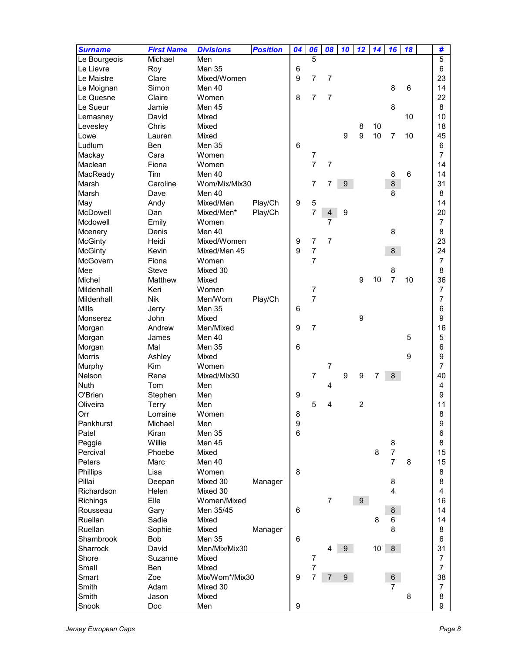| <b>Surname</b> | <b>First Name</b> | <b>Divisions</b> | <b>Position</b> | 04              | 06               | 08                       | 10               | 12               | 14 | 16                  | 18 | #              |
|----------------|-------------------|------------------|-----------------|-----------------|------------------|--------------------------|------------------|------------------|----|---------------------|----|----------------|
| Le Bourgeois   | Michael           | Men              |                 |                 | 5                |                          |                  |                  |    |                     |    | 5              |
| Le Lievre      | Roy               | Men 35           |                 | 6               |                  |                          |                  |                  |    |                     |    | 6              |
| Le Maistre     | Clare             | Mixed/Women      |                 | 9               | $\overline{7}$   | $\overline{7}$           |                  |                  |    |                     |    | 23             |
| Le Moignan     | Simon             | Men 40           |                 |                 |                  |                          |                  |                  |    | 8                   | 6  | 14             |
| Le Quesne      | Claire            | Women            |                 | 8               | 7                | $\overline{7}$           |                  |                  |    |                     |    | 22             |
| Le Sueur       | Jamie             | Men 45           |                 |                 |                  |                          |                  |                  |    | 8                   |    | 8              |
| Lemasney       | David             | Mixed            |                 |                 |                  |                          |                  |                  |    |                     | 10 | 10             |
| Levesley       | Chris             | Mixed            |                 |                 |                  |                          |                  | 8                | 10 |                     |    | 18             |
| Lowe           | Lauren            | Mixed            |                 |                 |                  |                          | 9                | 9                | 10 | $\overline{7}$      | 10 | 45             |
| Ludlum         | Ben               | Men 35           |                 | $6\phantom{1}6$ |                  |                          |                  |                  |    |                     |    | 6              |
| Mackay         | Cara              | Women            |                 |                 | 7                |                          |                  |                  |    |                     |    | $\overline{7}$ |
| Maclean        | Fiona             | Women            |                 |                 | $\overline{7}$   | $\overline{7}$           |                  |                  |    |                     |    | 14             |
| MacReady       | Tim               | Men 40           |                 |                 |                  |                          |                  |                  |    | 8                   | 6  | 14             |
| Marsh          | Caroline          | Wom/Mix/Mix30    |                 |                 | 7                | 7                        | $\boldsymbol{9}$ |                  |    | 8                   |    | 31             |
| Marsh          | Dave              | Men 40           |                 |                 |                  |                          |                  |                  |    | 8                   |    | 8              |
| May            | Andy              | Mixed/Men        | Play/Ch         | 9               | 5                |                          |                  |                  |    |                     |    | 14             |
| McDowell       | Dan               | Mixed/Men*       | Play/Ch         |                 | $\overline{7}$   | $\overline{\mathcal{A}}$ | $\boldsymbol{9}$ |                  |    |                     |    | 20             |
| Mcdowell       | Emily             | Women            |                 |                 |                  | $\overline{7}$           |                  |                  |    |                     |    | $\overline{7}$ |
| Mcenery        | Denis             | Men 40           |                 |                 |                  |                          |                  |                  |    | 8                   |    | 8              |
| <b>McGinty</b> | Heidi             | Mixed/Women      |                 | 9               | $\boldsymbol{7}$ | $\overline{7}$           |                  |                  |    |                     |    | 23             |
| <b>McGinty</b> | Kevin             | Mixed/Men 45     |                 | 9               | $\overline{7}$   |                          |                  |                  |    | 8                   |    | 24             |
| McGovern       | Fiona             | Women            |                 |                 | $\overline{7}$   |                          |                  |                  |    |                     |    | $\overline{7}$ |
| Mee            | <b>Steve</b>      | Mixed 30         |                 |                 |                  |                          |                  |                  |    | 8                   |    | 8              |
| Michel         | Matthew           | Mixed            |                 |                 |                  |                          |                  | $\boldsymbol{9}$ | 10 | $\overline{7}$      | 10 | 36             |
| Mildenhall     | Keri              | Women            |                 |                 | $\boldsymbol{7}$ |                          |                  |                  |    |                     |    | $\overline{7}$ |
| Mildenhall     | <b>Nik</b>        | Men/Wom          | Play/Ch         |                 | $\overline{7}$   |                          |                  |                  |    |                     |    | 7              |
| <b>Mills</b>   | Jerry             | Men 35           |                 | 6               |                  |                          |                  |                  |    |                     |    | 6              |
| Monserez       | John              | Mixed            |                 |                 |                  |                          |                  | $\boldsymbol{9}$ |    |                     |    | 9              |
| Morgan         | Andrew            | Men/Mixed        |                 | 9               | $\overline{7}$   |                          |                  |                  |    |                     |    | 16             |
| Morgan         | James             | Men 40           |                 |                 |                  |                          |                  |                  |    |                     | 5  | 5              |
| Morgan         | Mal               | Men 35           |                 | $\,6$           |                  |                          |                  |                  |    |                     |    | 6              |
| <b>Morris</b>  | Ashley            | Mixed            |                 |                 |                  |                          |                  |                  |    |                     | 9  | 9              |
| Murphy         | <b>Kim</b>        | Women            |                 |                 |                  | 7                        |                  |                  |    |                     |    | 7              |
| Nelson         | Rena              | Mixed/Mix30      |                 |                 | $\overline{7}$   |                          | 9                | 9                | 7  | 8                   |    | 40             |
| <b>Nuth</b>    | Tom               | Men              |                 |                 |                  | 4                        |                  |                  |    |                     |    | 4              |
| O'Brien        | Stephen           | Men              |                 | 9               |                  |                          |                  |                  |    |                     |    | 9              |
| Oliveira       | <b>Terry</b>      | Men              |                 |                 | 5                | 4                        |                  | $\overline{c}$   |    |                     |    | 11             |
|                |                   | Women            |                 |                 |                  |                          |                  |                  |    |                     |    |                |
| Orr            | Lorraine          |                  |                 | 8<br>9          |                  |                          |                  |                  |    |                     |    | 8<br>9         |
| Pankhurst      | Michael           | Men<br>Men 35    |                 | 6               |                  |                          |                  |                  |    |                     |    |                |
| Patel          | Kiran             |                  |                 |                 |                  |                          |                  |                  |    |                     |    | 6              |
| Peggie         | Willie            | Men 45<br>Mixed  |                 |                 |                  |                          |                  |                  | 8  | 8<br>$\overline{7}$ |    | 8              |
| Percival       | Phoebe            |                  |                 |                 |                  |                          |                  |                  |    |                     |    | 15             |
| Peters         | Marc              | Men 40           |                 |                 |                  |                          |                  |                  |    | $\overline{7}$      | 8  | 15             |
| Phillips       | Lisa              | Women            |                 | 8               |                  |                          |                  |                  |    |                     |    | 8              |
| Pillai         | Deepan            | Mixed 30         | Manager         |                 |                  |                          |                  |                  |    | 8                   |    | 8              |
| Richardson     | Helen             | Mixed 30         |                 |                 |                  |                          |                  |                  |    | 4                   |    | 4              |
| Richings       | Elle              | Women/Mixed      |                 |                 |                  | $\overline{7}$           |                  | 9 <sup>1</sup>   |    |                     |    | 16             |
| Rousseau       | Gary              | Men 35/45        |                 | $\,6$           |                  |                          |                  |                  |    | 8                   |    | 14             |
| Ruellan        | Sadie             | Mixed            |                 |                 |                  |                          |                  |                  | 8  | 6                   |    | 14             |
| Ruellan        | Sophie            | Mixed            | Manager         |                 |                  |                          |                  |                  |    | 8                   |    | 8              |
| Shambrook      | Bob               | Men 35           |                 | 6               |                  |                          |                  |                  |    |                     |    | 6              |
| Sharrock       | David             | Men/Mix/Mix30    |                 |                 |                  | 4                        | 9 <sup>°</sup>   |                  | 10 | 8                   |    | 31             |
| Shore          | Suzanne           | Mixed            |                 |                 | 7                |                          |                  |                  |    |                     |    | 7              |
| Small          | <b>Ben</b>        | Mixed            |                 |                 | $\overline{7}$   |                          |                  |                  |    |                     |    | $\overline{7}$ |
| Smart          | Zoe               | Mix/Wom*/Mix30   |                 | 9               | 7                | $\overline{7}$           | $9\phantom{.}$   |                  |    | 6                   |    | 38             |
| Smith          | Adam              | Mixed 30         |                 |                 |                  |                          |                  |                  |    | $\overline{7}$      |    | 7              |
| Smith          | Jason             | Mixed            |                 |                 |                  |                          |                  |                  |    |                     | 8  | 8              |
| Snook          | Doc               | Men              |                 | 9               |                  |                          |                  |                  |    |                     |    | 9              |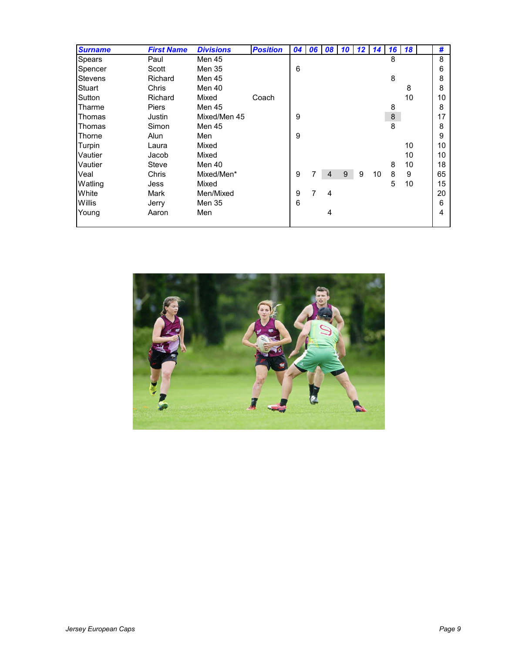| <b>Surname</b> | <b>First Name</b> | <b>Divisions</b> | <b>Position</b> | 04 | 06 | 08 |   | $10$ 12 | 14 | 16 <sup>1</sup> | <b>18</b> | #  |
|----------------|-------------------|------------------|-----------------|----|----|----|---|---------|----|-----------------|-----------|----|
| Spears         | Paul              | Men 45           |                 |    |    |    |   |         |    | 8               |           | 8  |
| Spencer        | Scott             | Men 35           |                 | 6  |    |    |   |         |    |                 |           | 6  |
| <b>Stevens</b> | Richard           | Men 45           |                 |    |    |    |   |         |    | 8               |           | 8  |
| Stuart         | Chris             | Men 40           |                 |    |    |    |   |         |    |                 | 8         | 8  |
| Sutton         | Richard           | Mixed            | Coach           |    |    |    |   |         |    |                 | 10        | 10 |
| Tharme         | <b>Piers</b>      | Men 45           |                 |    |    |    |   |         |    | 8               |           | 8  |
| Thomas         | Justin            | Mixed/Men 45     |                 | 9  |    |    |   |         |    | $\bf 8$         |           | 17 |
| Thomas         | Simon             | Men 45           |                 |    |    |    |   |         |    | 8               |           | 8  |
| Thorne         | Alun              | Men              |                 | 9  |    |    |   |         |    |                 |           | 9  |
| Turpin         | Laura             | Mixed            |                 |    |    |    |   |         |    |                 | 10        | 10 |
| Vautier        | Jacob             | Mixed            |                 |    |    |    |   |         |    |                 | 10        | 10 |
| Vautier        | Steve             | Men 40           |                 |    |    |    |   |         |    | 8               | 10        | 18 |
| Veal           | Chris             | Mixed/Men*       |                 | 9  |    | 4  | 9 | 9       | 10 | 8               | 9         | 65 |
| Watling        | Jess              | Mixed            |                 |    |    |    |   |         |    | 5               | 10        | 15 |
| White          | Mark              | Men/Mixed        |                 | 9  |    | 4  |   |         |    |                 |           | 20 |
| Willis         | Jerry             | Men 35           |                 | 6  |    |    |   |         |    |                 |           | 6  |
| Young          | Aaron             | Men              |                 |    |    | 4  |   |         |    |                 |           | 4  |
|                |                   |                  |                 |    |    |    |   |         |    |                 |           |    |

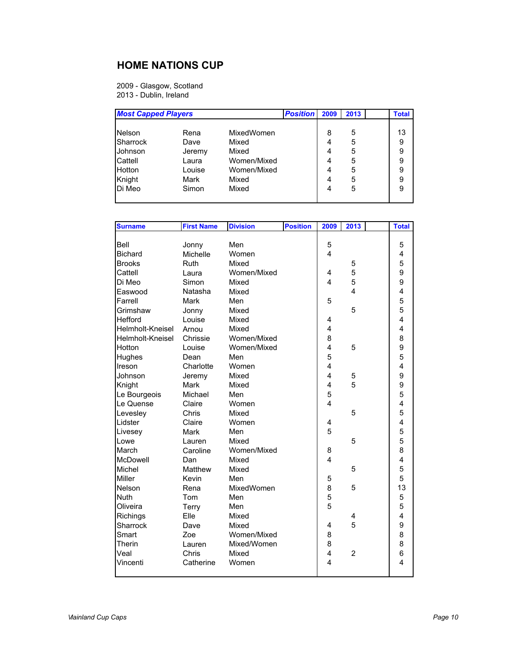## **HOME NATIONS CUP**

2009 - Glasgow, Scotland 2013 - Dublin, Ireland

| <b>Most Capped Players</b> |        |             | <b>Position</b> | 2009 | 2013 | <b>Total</b> |
|----------------------------|--------|-------------|-----------------|------|------|--------------|
|                            |        |             |                 |      |      |              |
| Nelson                     | Rena   | MixedWomen  |                 | 8    | 5    | 13           |
| Sharrock                   | Dave   | Mixed       |                 | 4    | 5    | 9            |
| Johnson                    | Jeremy | Mixed       |                 | 4    | 5    | 9            |
| Cattell                    | Laura  | Women/Mixed |                 | 4    | 5    | 9            |
| Hotton                     | Louise | Women/Mixed |                 | 4    | 5    | 9            |
| Knight                     | Mark   | Mixed       |                 | 4    | 5    | 9            |
| Di Meo                     | Simon  | Mixed       |                 | 4    | 5    | 9            |
|                            |        |             |                 |      |      |              |

| <b>Surname</b>   | <b>First Name</b> | <b>Division</b> | <b>Position</b> | 2009           | 2013                    | <b>Total</b>            |
|------------------|-------------------|-----------------|-----------------|----------------|-------------------------|-------------------------|
|                  |                   |                 |                 |                |                         |                         |
| Bell             | Jonny             | Men             |                 | 5              |                         | 5                       |
| <b>Bichard</b>   | Michelle          | Women           |                 | 4              |                         | 4                       |
| <b>Brooks</b>    | Ruth              | Mixed           |                 |                | 5                       | 5                       |
| Cattell          | Laura             | Women/Mixed     |                 | 4              | 5                       | 9                       |
| Di Meo           | Simon             | Mixed           |                 | 4              | 5                       | 9                       |
| Easwood          | Natasha           | Mixed           |                 |                | $\overline{\mathbf{A}}$ | $\overline{4}$          |
| Farrell          | Mark              | Men             |                 | 5              |                         | 5                       |
| Grimshaw         | Jonny             | Mixed           |                 |                | 5                       | 5                       |
| Hefford          | Louise            | Mixed           |                 | 4              |                         | 4                       |
| Helmholt-Kneisel | Arnou             | Mixed           |                 | 4              |                         | $\overline{\mathbf{4}}$ |
| Helmholt-Kneisel | Chrissie          | Women/Mixed     |                 | 8              |                         | 8                       |
| Hotton           | Louise            | Women/Mixed     |                 | 4              | 5                       | 9                       |
| Hughes           | Dean              | Men             |                 | 5              |                         | 5                       |
| Ireson           | Charlotte         | Women           |                 | 4              |                         | $\overline{\mathbf{4}}$ |
| Johnson          | Jeremy            | Mixed           |                 | $\overline{4}$ | 5                       | 9                       |
| Knight           | Mark              | Mixed           |                 | 4              | 5                       | 9                       |
| Le Bourgeois     | Michael           | Men             |                 | 5              |                         | 5                       |
| Le Quense        | Claire            | Women           |                 | 4              |                         | 4                       |
| Levesley         | Chris             | Mixed           |                 |                | 5                       | 5                       |
| Lidster          | Claire            | Women           |                 | 4              |                         | 4                       |
| Livesey          | Mark              | Men             |                 | 5              |                         | 5                       |
| Lowe             | Lauren            | Mixed           |                 |                | 5                       | 5                       |
| March            | Caroline          | Women/Mixed     |                 | 8              |                         | 8                       |
| McDowell         | Dan               | Mixed           |                 | 4              |                         | 4                       |
| Michel           | Matthew           | Mixed           |                 |                | 5                       | 5                       |
| Miller           | Kevin             | Men             |                 | 5              |                         | 5                       |
| Nelson           | Rena              | MixedWomen      |                 | 8              | 5                       | 13                      |
| Nuth             | Tom               | Men             |                 | 5              |                         | 5                       |
| Oliveira         | Terry             | Men             |                 | 5              |                         | 5                       |
| Richings         | Elle              | Mixed           |                 |                | 4                       | $\overline{4}$          |
| Sharrock         | Dave              | Mixed           |                 | 4              | 5                       | 9                       |
| Smart            | Zoe               | Women/Mixed     |                 | 8              |                         | 8                       |
| Therin           | Lauren            | Mixed/Women     |                 | 8              |                         | 8                       |
| Veal             | Chris             | Mixed           |                 | 4              | $\overline{2}$          | 6                       |
| Vincenti         | Catherine         | Women           |                 | 4              |                         | 4                       |
|                  |                   |                 |                 |                |                         |                         |